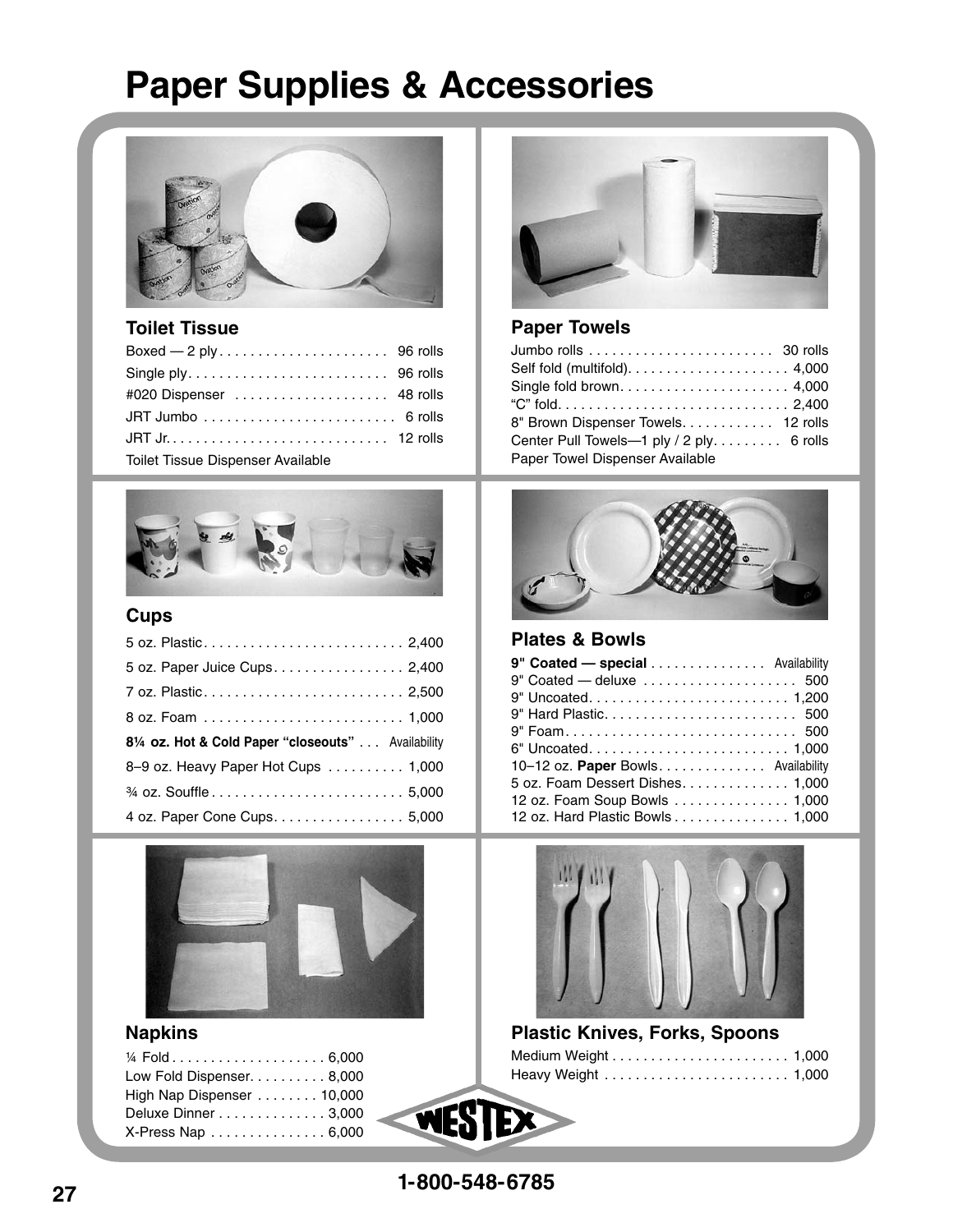## **Paper Supplies & Accessories**



#### **Toilet Tissue**

| #020 Dispenser  48 rolls          |  |
|-----------------------------------|--|
|                                   |  |
|                                   |  |
| Toilet Tissue Dispenser Available |  |



## **Cups**

| 5 oz. Paper Juice Cups 2,400                                                             |
|------------------------------------------------------------------------------------------|
|                                                                                          |
|                                                                                          |
|                                                                                          |
|                                                                                          |
| 81/4 oz. Hot & Cold Paper "closeouts" Availability<br>8-9 oz. Heavy Paper Hot Cups 1,000 |
|                                                                                          |



## **Napkins**

| Low Fold Dispenser. 8,000 |  |
|---------------------------|--|
| High Nap Dispenser 10,000 |  |
| Deluxe Dinner 3,000       |  |
| X-Press Nap  6,000        |  |



#### **Paper Towels**

| 8" Brown Dispenser Towels. 12 rolls       |
|-------------------------------------------|
| Center Pull Towels-1 ply / 2 ply. 6 rolls |
|                                           |
|                                           |



#### **Plates & Bowls**

| 9" Coated - special Availability    |
|-------------------------------------|
| 9" Coated - deluxe  500             |
|                                     |
|                                     |
| 9" Foam 500                         |
|                                     |
| 10-12 oz. Paper Bowls. Availability |
| 5 oz. Foam Dessert Dishes 1,000     |
| 12 oz. Foam Soup Bowls 1,000        |
| 12 oz. Hard Plastic Bowls 1,000     |



| <b>Plastic Knives, Forks, Spoons</b> |  |
|--------------------------------------|--|
|                                      |  |
|                                      |  |

**1-800-548-6785**

WESTEX